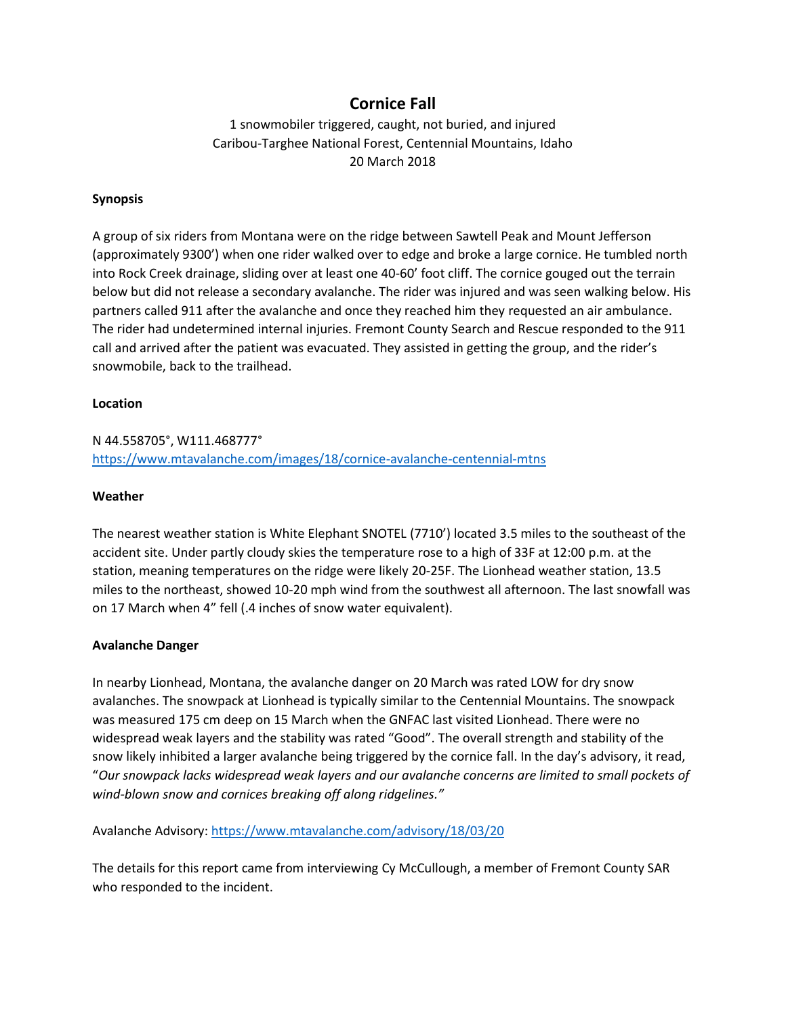# **Cornice Fall**

1 snowmobiler triggered, caught, not buried, and injured Caribou-Targhee National Forest, Centennial Mountains, Idaho 20 March 2018

### **Synopsis**

A group of six riders from Montana were on the ridge between Sawtell Peak and Mount Jefferson (approximately 9300') when one rider walked over to edge and broke a large cornice. He tumbled north into Rock Creek drainage, sliding over at least one 40-60' foot cliff. The cornice gouged out the terrain below but did not release a secondary avalanche. The rider was injured and was seen walking below. His partners called 911 after the avalanche and once they reached him they requested an air ambulance. The rider had undetermined internal injuries. Fremont County Search and Rescue responded to the 911 call and arrived after the patient was evacuated. They assisted in getting the group, and the rider's snowmobile, back to the trailhead.

### **Location**

## N 44.558705°, W111.468777° <https://www.mtavalanche.com/images/18/cornice-avalanche-centennial-mtns>

### **Weather**

The nearest weather station is White Elephant SNOTEL (7710') located 3.5 miles to the southeast of the accident site. Under partly cloudy skies the temperature rose to a high of 33F at 12:00 p.m. at the station, meaning temperatures on the ridge were likely 20-25F. The Lionhead weather station, 13.5 miles to the northeast, showed 10-20 mph wind from the southwest all afternoon. The last snowfall was on 17 March when 4" fell (.4 inches of snow water equivalent).

#### **Avalanche Danger**

In nearby Lionhead, Montana, the avalanche danger on 20 March was rated LOW for dry snow avalanches. The snowpack at Lionhead is typically similar to the Centennial Mountains. The snowpack was measured 175 cm deep on 15 March when the GNFAC last visited Lionhead. There were no widespread weak layers and the stability was rated "Good". The overall strength and stability of the snow likely inhibited a larger avalanche being triggered by the cornice fall. In the day's advisory, it read, "*Our snowpack lacks widespread weak layers and our avalanche concerns are limited to small pockets of wind-blown snow and cornices breaking off along ridgelines."*

Avalanche Advisory[: https://www.mtavalanche.com/advisory/18/03/20](https://www.mtavalanche.com/advisory/18/03/20)

The details for this report came from interviewing Cy McCullough, a member of Fremont County SAR who responded to the incident.